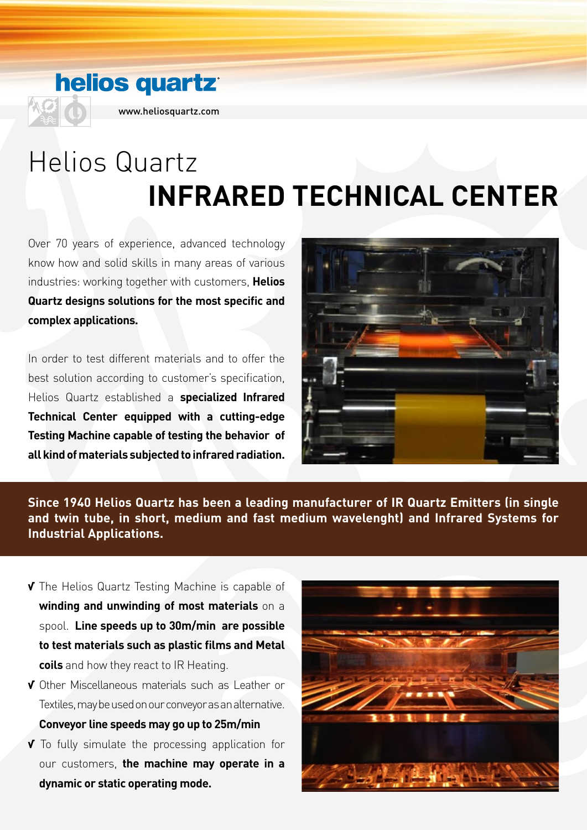## **helios quartz**



www.heliosquartz.com

# Helios Quartz **INFRARED TECHNICAL CENTER**

Over 70 years of experience, advanced technology know how and solid skills in many areas of various industries: working together with customers, **Helios Quartz designs solutions for the most specific and complex applications.**

In order to test different materials and to offer the best solution according to customer's specification, Helios Quartz established a **specialized Infrared Technical Center equipped with a cutting-edge Testing Machine capable of testing the behavior of all kind of materials subjected to infrared radiation.**



**Since 1940 Helios Quartz has been a leading manufacturer of IR Quartz Emitters (in single and twin tube, in short, medium and fast medium wavelenght) and Infrared Systems for Industrial Applications.**

- **√** The Helios Quartz Testing Machine is capable of **winding and unwinding of most materials** on a spool. **Line speeds up to 30m/min are possible to test materials such as plastic films and Metal coils** and how they react to IR Heating.
- **√** Other Miscellaneous materials such as Leather or Textiles, may be used on our conveyor as an alternative. **Conveyor line speeds may go up to 25m/min**
- **√** To fully simulate the processing application for our customers, **the machine may operate in a dynamic or static operating mode.**